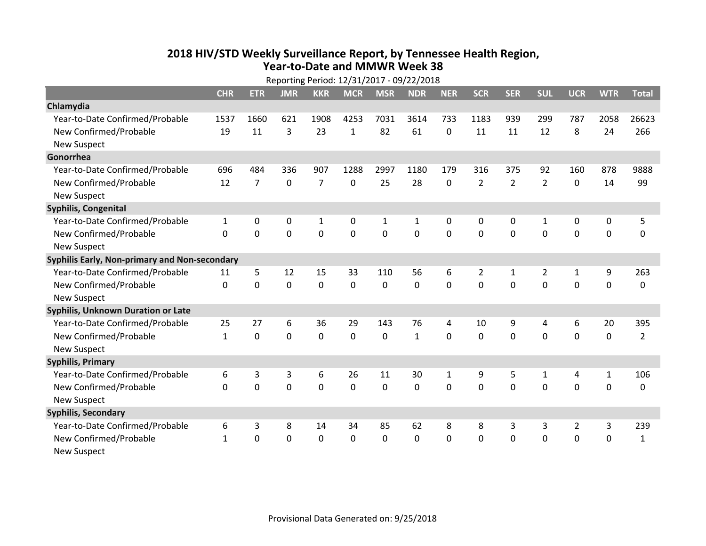## **2018 HIV /STD Weekl y Surveillance Report, b y Tennessee Health Region, Year‐to‐Date and MMWR Week 38**

| Reporting Period: 12/31/2017 - 09/22/2018     |              |                  |                |                |              |                |              |              |                |                |                |                |                  |                |
|-----------------------------------------------|--------------|------------------|----------------|----------------|--------------|----------------|--------------|--------------|----------------|----------------|----------------|----------------|------------------|----------------|
|                                               | <b>CHR</b>   | <b>ETR</b>       | <b>JMR</b>     | <b>KKR</b>     | <b>MCR</b>   | <b>MSR</b>     | <b>NDR</b>   | <b>NER</b>   | <b>SCR</b>     | <b>SER</b>     | <b>SUL</b>     | <b>UCR</b>     | <b>WTR</b>       | <b>Total</b>   |
| Chlamydia                                     |              |                  |                |                |              |                |              |              |                |                |                |                |                  |                |
| Year-to-Date Confirmed/Probable               | 1537         | 1660             | 621            | 1908           | 4253         | 7031           | 3614         | 733          | 1183           | 939            | 299            | 787            | 2058             | 26623          |
| New Confirmed/Probable                        | 19           | 11               | 3              | 23             | $\mathbf{1}$ | 82             | 61           | $\Omega$     | 11             | 11             | 12             | 8              | 24               | 266            |
| <b>New Suspect</b>                            |              |                  |                |                |              |                |              |              |                |                |                |                |                  |                |
| Gonorrhea                                     |              |                  |                |                |              |                |              |              |                |                |                |                |                  |                |
| Year-to-Date Confirmed/Probable               | 696          | 484              | 336            | 907            | 1288         | 2997           | 1180         | 179          | 316            | 375            | 92             | 160            | 878              | 9888           |
| New Confirmed/Probable                        | 12           | $\overline{7}$   | $\overline{0}$ | $\overline{7}$ | $\mathbf 0$  | 25             | 28           | $\mathbf{0}$ | $\overline{2}$ | $\overline{2}$ | $\overline{2}$ | $\mathbf 0$    | 14               | 99             |
| <b>New Suspect</b>                            |              |                  |                |                |              |                |              |              |                |                |                |                |                  |                |
| Syphilis, Congenital                          |              |                  |                |                |              |                |              |              |                |                |                |                |                  |                |
| Year-to-Date Confirmed/Probable               | 1            | 0                | 0              | 1              | 0            | 1              | 1            | $\Omega$     | $\Omega$       | 0              | 1              | 0              | 0                | 5              |
| New Confirmed/Probable                        | $\mathbf{0}$ | $\mathbf 0$      | $\mathbf 0$    | $\mathbf 0$    | $\mathbf 0$  | $\overline{0}$ | 0            | $\mathbf{0}$ | $\Omega$       | $\mathbf 0$    | $\mathbf{0}$   | $\mathbf 0$    | $\mathbf 0$      | $\mathbf 0$    |
| <b>New Suspect</b>                            |              |                  |                |                |              |                |              |              |                |                |                |                |                  |                |
| Syphilis Early, Non-primary and Non-secondary |              |                  |                |                |              |                |              |              |                |                |                |                |                  |                |
| Year-to-Date Confirmed/Probable               | 11           | 5                | 12             | 15             | 33           | 110            | 56           | 6            | $\overline{2}$ | 1              | $\overline{2}$ | $\mathbf{1}$   | 9                | 263            |
| New Confirmed/Probable                        | $\Omega$     | $\mathbf 0$      | $\mathbf 0$    | $\mathbf 0$    | $\mathbf 0$  | $\mathbf 0$    | 0            | $\Omega$     | $\Omega$       | $\mathbf 0$    | $\overline{0}$ | $\mathbf 0$    | $\mathbf 0$      | $\mathbf 0$    |
| <b>New Suspect</b>                            |              |                  |                |                |              |                |              |              |                |                |                |                |                  |                |
| Syphilis, Unknown Duration or Late            |              |                  |                |                |              |                |              |              |                |                |                |                |                  |                |
| Year-to-Date Confirmed/Probable               | 25           | 27               | 6              | 36             | 29           | 143            | 76           | 4            | 10             | 9              | $\overline{4}$ | 6              | 20               | 395            |
| New Confirmed/Probable                        | $\mathbf{1}$ | $\mathbf 0$      | $\mathbf 0$    | $\mathbf 0$    | $\mathbf 0$  | $\mathbf 0$    | $\mathbf{1}$ | $\Omega$     | $\Omega$       | $\Omega$       | $\Omega$       | $\overline{0}$ | $\overline{0}$   | $\overline{2}$ |
| <b>New Suspect</b>                            |              |                  |                |                |              |                |              |              |                |                |                |                |                  |                |
| <b>Syphilis, Primary</b>                      |              |                  |                |                |              |                |              |              |                |                |                |                |                  |                |
| Year-to-Date Confirmed/Probable               | 6            | 3                | 3              | 6              | 26           | 11             | 30           | $\mathbf{1}$ | 9              | 5              | $\mathbf{1}$   | 4              | $\mathbf{1}$     | 106            |
| New Confirmed/Probable                        | $\mathbf{0}$ | $\mathbf 0$      | $\mathbf 0$    | $\mathbf 0$    | $\mathbf 0$  | 0              | 0            | $\Omega$     | $\Omega$       | $\mathbf 0$    | $\mathbf 0$    | $\mathbf 0$    | $\mathbf 0$      | 0              |
| <b>New Suspect</b>                            |              |                  |                |                |              |                |              |              |                |                |                |                |                  |                |
| <b>Syphilis, Secondary</b>                    |              |                  |                |                |              |                |              |              |                |                |                |                |                  |                |
| Year-to-Date Confirmed/Probable               | 6            | 3                | 8              | 14             | 34           | 85             | 62           | 8            | 8              | 3              | 3              | $\overline{2}$ | 3                | 239            |
| New Confirmed/Probable                        | 1            | $\boldsymbol{0}$ | $\mathbf 0$    | $\mathbf 0$    | $\mathbf 0$  | 0              | 0            | 0            | 0              | $\mathbf 0$    | 0              | $\mathbf 0$    | $\boldsymbol{0}$ | $\mathbf{1}$   |
| <b>New Suspect</b>                            |              |                  |                |                |              |                |              |              |                |                |                |                |                  |                |